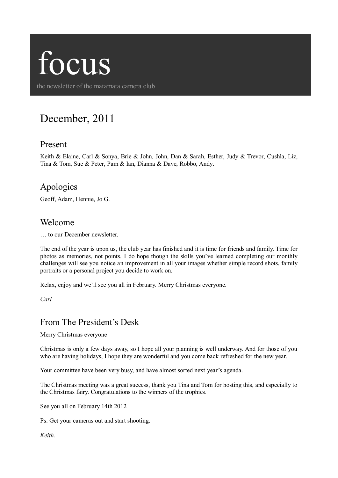# focus

the newsletter of the matamata camera club

# December, 2011

### Present

Keith & Elaine, Carl & Sonya, Brie & John, John, Dan & Sarah, Esther, Judy & Trevor, Cushla, Liz, Tina & Tom, Sue & Peter, Pam & Ian, Dianna & Dave, Robbo, Andy.

### Apologies

Geoff, Adam, Hennie, Jo G.

#### Welcome

… to our December newsletter.

The end of the year is upon us, the club year has finished and it is time for friends and family. Time for photos as memories, not points. I do hope though the skills you've learned completing our monthly challenges will see you notice an improvement in all your images whether simple record shots, family portraits or a personal project you decide to work on.

Relax, enjoy and we'll see you all in February. Merry Christmas everyone.

*Carl*

# From The President's Desk

Merry Christmas everyone

Christmas is only a few days away, so I hope all your planning is well underway. And for those of you who are having holidays, I hope they are wonderful and you come back refreshed for the new year.

Your committee have been very busy, and have almost sorted next year's agenda.

The Christmas meeting was a great success, thank you Tina and Tom for hosting this, and especially to the Christmas fairy. Congratulations to the winners of the trophies.

See you all on February 14th 2012

Ps: Get your cameras out and start shooting.

*Keith.*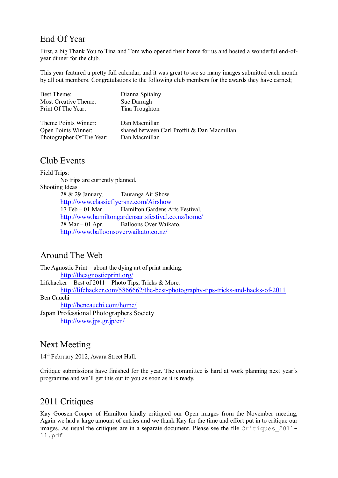# End Of Year

First, a big Thank You to Tina and Tom who opened their home for us and hosted a wonderful end-ofyear dinner for the club.

This year featured a pretty full calendar, and it was great to see so many images submitted each month by all out members. Congratulations to the following club members for the awards they have earned;

| Best Theme:               | Dianna Spitalny                             |
|---------------------------|---------------------------------------------|
| Most Creative Theme:      | Sue Darragh                                 |
| Print Of The Year:        | Tina Troughton                              |
|                           |                                             |
| Theme Points Winner:      | Dan Macmillan                               |
| Open Points Winner:       | shared between Carl Proffit & Dan Macmillan |
| Photographer Of The Year: | Dan Macmillan                               |

#### Club Events

Field Trips: No trips are currently planned. Shooting Ideas 28 & 29 January. Tauranga Air Show <http://www.classicflyersnz.com/Airshow> 17 Feb – 01 Mar Hamilton Gardens Arts Festival. <http://www.hamiltongardensartsfestival.co.nz/home/> 28 Mar – 01 Apr. Balloons Over Waikato. <http://www.balloonsoverwaikato.co.nz/>

## Around The Web

The Agnostic Print – about the dying art of print making. <http://theagnosticprint.org/> Lifehacker – Best of 2011 – Photo Tips, Tricks & More. <http://lifehacker.com/5866662/the-best-photography-tips-tricks-and-hacks-of-2011> Ben Cauchi <http://bencauchi.com/home/> Japan Professional Photographers Society <http://www.jps.gr.jp/en/>

#### Next Meeting

14<sup>th</sup> February 2012, Awara Street Hall.

Critique submissions have finished for the year. The committee is hard at work planning next year's programme and we'll get this out to you as soon as it is ready.

# 2011 Critiques

Kay Goosen-Cooper of Hamilton kindly critiqued our Open images from the November meeting, Again we had a large amount of entries and we thank Kay for the time and effort put in to critique our images. As usual the critiques are in a separate document. Please see the file Critiques 2011-11.pdf